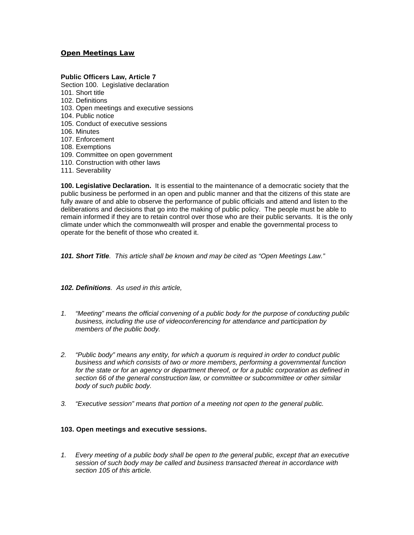### **Open Meetings Law**

### **Public Officers Law, Article 7**

- Section 100. Legislative declaration 101. Short title 102. Definitions 103. Open meetings and executive sessions 104. Public notice 105. Conduct of executive sessions 106. Minutes 107. Enforcement 108. Exemptions 109. Committee on open government
- 110. Construction with other laws
- 111. Severability

**100. Legislative Declaration.** It is essential to the maintenance of a democratic society that the public business be performed in an open and public manner and that the citizens of this state are fully aware of and able to observe the performance of public officials and attend and listen to the deliberations and decisions that go into the making of public policy. The people must be able to remain informed if they are to retain control over those who are their public servants. It is the only climate under which the commonwealth will prosper and enable the governmental process to operate for the benefit of those who created it.

*101. Short Title. This article shall be known and may be cited as "Open Meetings Law."*

*102. Definitions. As used in this article,*

- *1. "Meeting" means the official convening of a public body for the purpose of conducting public business, including the use of videoconferencing for attendance and participation by members of the public body.*
- *2. "Public body" means any entity, for which a quorum is required in order to conduct public business and which consists of two or more members, performing a governmental function*  for the state or for an agency or department thereof, or for a public corporation as defined in *section 66 of the general construction law, or committee or subcommittee or other similar body of such public body.*
- *3. "Executive session" means that portion of a meeting not open to the general public.*

#### **103. Open meetings and executive sessions.**

*1. Every meeting of a public body shall be open to the general public, except that an executive session of such body may be called and business transacted thereat in accordance with section 105 of this article.*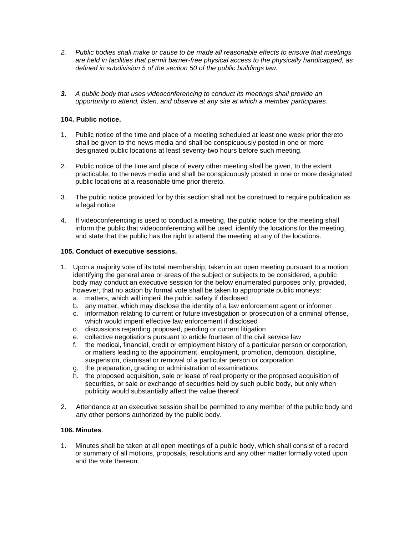- *2. Public bodies shall make or cause to be made all reasonable effects to ensure that meetings are held in facilities that permit barrier-free physical access to the physically handicapped, as defined in subdivision 5 of the section 50 of the public buildings law.*
- *3. A public body that uses videoconferencing to conduct its meetings shall provide an opportunity to attend, listen, and observe at any site at which a member participates.*

# **104. Public notice.**

- 1. Public notice of the time and place of a meeting scheduled at least one week prior thereto shall be given to the news media and shall be conspicuously posted in one or more designated public locations at least seventy-two hours before such meeting.
- 2. Public notice of the time and place of every other meeting shall be given, to the extent practicable, to the news media and shall be conspicuously posted in one or more designated public locations at a reasonable time prior thereto.
- 3. The public notice provided for by this section shall not be construed to require publication as a legal notice.
- 4. If videoconferencing is used to conduct a meeting, the public notice for the meeting shall inform the public that videoconferencing will be used, identify the locations for the meeting, and state that the public has the right to attend the meeting at any of the locations.

## **105. Conduct of executive sessions.**

- 1. Upon a majority vote of its total membership, taken in an open meeting pursuant to a motion identifying the general area or areas of the subject or subjects to be considered, a public body may conduct an executive session for the below enumerated purposes only, provided, however, that no action by formal vote shall be taken to appropriate public moneys: a. matters, which will imperil the public safety if disclosed
	- b. any matter, which may disclose the identity of a law enforcement agent or informer
	- c. information relating to current or future investigation or prosecution of a criminal offense, which would imperil effective law enforcement if disclosed
	- d. discussions regarding proposed, pending or current litigation
	- e. collective negotiations pursuant to article fourteen of the civil service law
	- f. the medical, financial, credit or employment history of a particular person or corporation, or matters leading to the appointment, employment, promotion, demotion, discipline, suspension, dismissal or removal of a particular person or corporation
	- g. the preparation, grading or administration of examinations
	- h. the proposed acquisition, sale or lease of real property or the proposed acquisition of securities, or sale or exchange of securities held by such public body, but only when publicity would substantially affect the value thereof
- 2. Attendance at an executive session shall be permitted to any member of the public body and any other persons authorized by the public body.

### **106. Minutes**.

1. Minutes shall be taken at all open meetings of a public body, which shall consist of a record or summary of all motions, proposals, resolutions and any other matter formally voted upon and the vote thereon.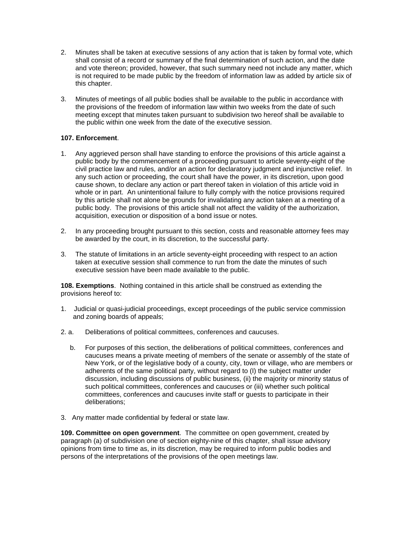- 2. Minutes shall be taken at executive sessions of any action that is taken by formal vote, which shall consist of a record or summary of the final determination of such action, and the date and vote thereon; provided, however, that such summary need not include any matter, which is not required to be made public by the freedom of information law as added by article six of this chapter.
- 3. Minutes of meetings of all public bodies shall be available to the public in accordance with the provisions of the freedom of information law within two weeks from the date of such meeting except that minutes taken pursuant to subdivision two hereof shall be available to the public within one week from the date of the executive session.

## **107. Enforcement**.

- 1. Any aggrieved person shall have standing to enforce the provisions of this article against a public body by the commencement of a proceeding pursuant to article seventy-eight of the civil practice law and rules, and/or an action for declaratory judgment and injunctive relief. In any such action or proceeding, the court shall have the power, in its discretion, upon good cause shown, to declare any action or part thereof taken in violation of this article void in whole or in part. An unintentional failure to fully comply with the notice provisions required by this article shall not alone be grounds for invalidating any action taken at a meeting of a public body. The provisions of this article shall not affect the validity of the authorization, acquisition, execution or disposition of a bond issue or notes.
- 2. In any proceeding brought pursuant to this section, costs and reasonable attorney fees may be awarded by the court, in its discretion, to the successful party.
- 3. The statute of limitations in an article seventy-eight proceeding with respect to an action taken at executive session shall commence to run from the date the minutes of such executive session have been made available to the public.

**108. Exemptions**. Nothing contained in this article shall be construed as extending the provisions hereof to:

- 1. Judicial or quasi-judicial proceedings, except proceedings of the public service commission and zoning boards of appeals;
- 2. a. Deliberations of political committees, conferences and caucuses.
	- b. For purposes of this section, the deliberations of political committees, conferences and caucuses means a private meeting of members of the senate or assembly of the state of New York, or of the legislative body of a county, city, town or village, who are members or adherents of the same political party, without regard to (I) the subject matter under discussion, including discussions of public business, (ii) the majority or minority status of such political committees, conferences and caucuses or (iii) whether such political committees, conferences and caucuses invite staff or guests to participate in their deliberations;
- 3. Any matter made confidential by federal or state law.

**109. Committee on open government**. The committee on open government, created by paragraph (a) of subdivision one of section eighty-nine of this chapter, shall issue advisory opinions from time to time as, in its discretion, may be required to inform public bodies and persons of the interpretations of the provisions of the open meetings law.